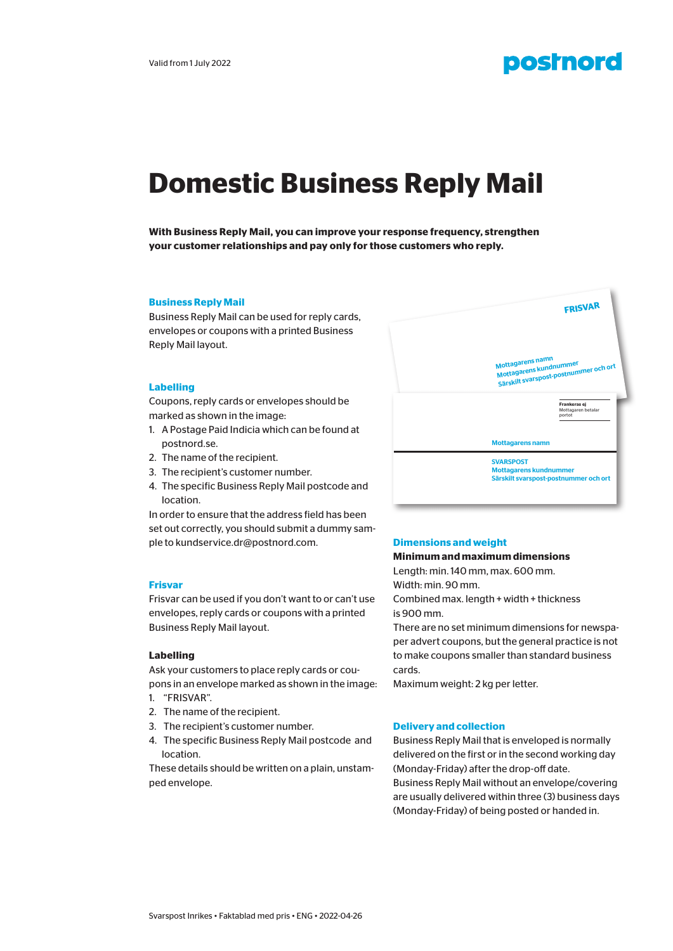

# **Domestic Business Reply Mail**

**With Business Reply Mail, you can improve your response frequency, strengthen your customer relationships and pay only for those customers who reply.** 

#### **Business Reply Mail**

Business Reply Mail can be used for reply cards, envelopes or coupons with a printed Business Reply Mail layout.

## **Labelling**

Coupons, reply cards or envelopes should be marked as shown in the image:

- 1. A Postage Paid Indicia which can be found at postnord.se.
- 2. The name of the recipient.
- 3. The recipient's customer number.
- 4. The specific Business Reply Mail postcode and location.

In order to ensure that the address field has been set out correctly, you should submit a dummy sample to kundservice.dr@postnord.com.

#### **Frisvar**

Frisvar can be used if you don't want to or can't use envelopes, reply cards or coupons with a printed Business Reply Mail layout.

#### **Labelling**

Ask your customers to place reply cards or coupons in an envelope marked as shown in the image:

- 1. "FRISVAR".
- 2. The name of the recipient.
- 3. The recipient's customer number.
- 4. The specific Business Reply Mail postcode and location.

These details should be written on a plain, unstamped envelope.



# **Dimensions and weight**

# **Minimum and maximum dimensions**

Length: min. 140 mm, max. 600 mm. Width: min. 90 mm.

Combined max. length + width + thickness is 900 mm.

There are no set minimum dimensions for newspaper advert coupons, but the general practice is not to make coupons smaller than standard business cards.

Maximum weight: 2 kg per letter.

#### **Delivery and collection**

Business Reply Mail that is enveloped is normally delivered on the first or in the second working day (Monday-Friday) after the drop-off date. Business Reply Mail without an envelope/covering are usually delivered within three (3) business days (Monday-Friday) of being posted or handed in.